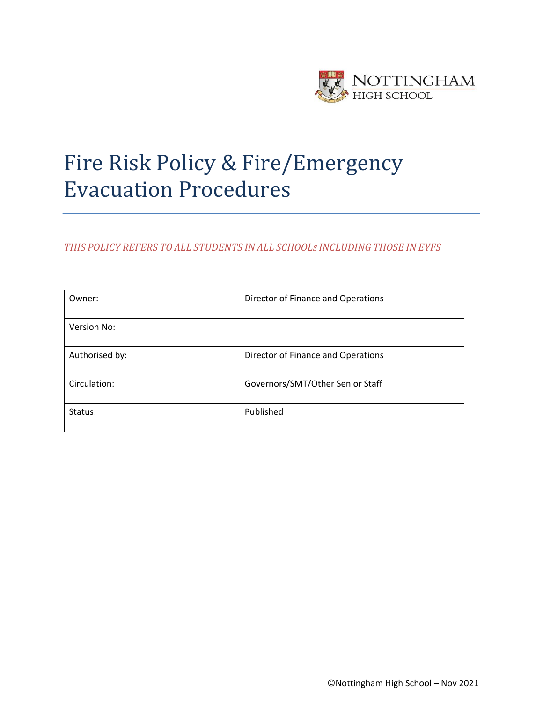

# Fire Risk Policy & Fire/Emergency Evacuation Procedures

*THIS POLICY REFERS TO ALL STUDENTS IN ALL SCHOOLS INCLUDING THOSE IN EYFS*

| Owner:         | Director of Finance and Operations |
|----------------|------------------------------------|
| Version No:    |                                    |
| Authorised by: | Director of Finance and Operations |
| Circulation:   | Governors/SMT/Other Senior Staff   |
| Status:        | Published                          |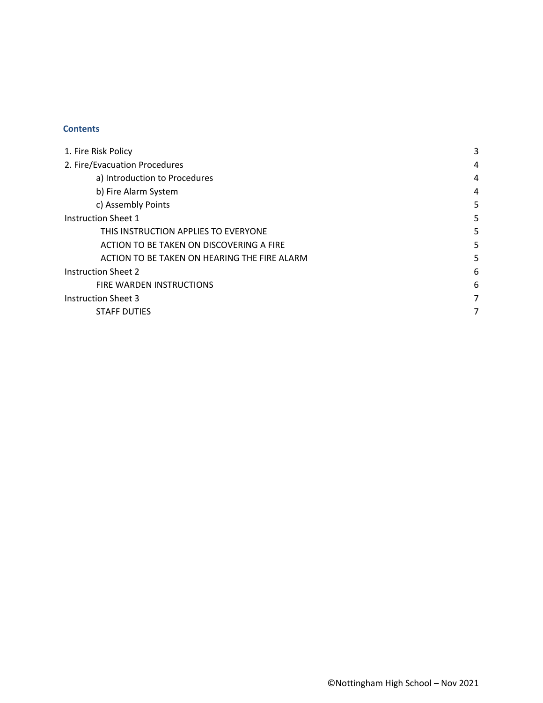# **Contents**

| 1. Fire Risk Policy                          | 3 |
|----------------------------------------------|---|
| 2. Fire/Evacuation Procedures                | 4 |
| a) Introduction to Procedures                | 4 |
| b) Fire Alarm System                         | 4 |
| c) Assembly Points                           | 5 |
| <b>Instruction Sheet 1</b>                   | 5 |
| THIS INSTRUCTION APPLIES TO EVERYONE         | 5 |
| ACTION TO BE TAKEN ON DISCOVERING A FIRE     | 5 |
| ACTION TO BE TAKEN ON HEARING THE FIRE ALARM | 5 |
| <b>Instruction Sheet 2</b>                   | 6 |
| FIRE WARDEN INSTRUCTIONS                     | 6 |
| <b>Instruction Sheet 3</b>                   | 7 |
| <b>STAFF DUTIES</b>                          | 7 |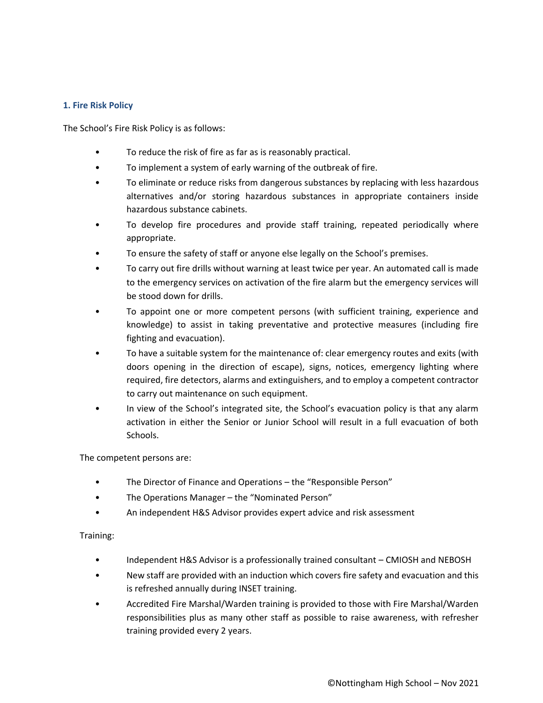# <span id="page-2-0"></span>**1. Fire Risk Policy**

The School's Fire Risk Policy is as follows:

- To reduce the risk of fire as far as is reasonably practical.
- To implement a system of early warning of the outbreak of fire.
- To eliminate or reduce risks from dangerous substances by replacing with less hazardous alternatives and/or storing hazardous substances in appropriate containers inside hazardous substance cabinets.
- To develop fire procedures and provide staff training, repeated periodically where appropriate.
- To ensure the safety of staff or anyone else legally on the School's premises.
- To carry out fire drills without warning at least twice per year. An automated call is made to the emergency services on activation of the fire alarm but the emergency services will be stood down for drills.
- To appoint one or more competent persons (with sufficient training, experience and knowledge) to assist in taking preventative and protective measures (including fire fighting and evacuation).
- To have a suitable system for the maintenance of: clear emergency routes and exits (with doors opening in the direction of escape), signs, notices, emergency lighting where required, fire detectors, alarms and extinguishers, and to employ a competent contractor to carry out maintenance on such equipment.
- In view of the School's integrated site, the School's evacuation policy is that any alarm activation in either the Senior or Junior School will result in a full evacuation of both Schools.

The competent persons are:

- The Director of Finance and Operations the "Responsible Person"
- The Operations Manager the "Nominated Person"
- An independent H&S Advisor provides expert advice and risk assessment

Training:

- Independent H&S Advisor is a professionally trained consultant CMIOSH and NEBOSH
- New staff are provided with an induction which covers fire safety and evacuation and this is refreshed annually during INSET training.
- Accredited Fire Marshal/Warden training is provided to those with Fire Marshal/Warden responsibilities plus as many other staff as possible to raise awareness, with refresher training provided every 2 years.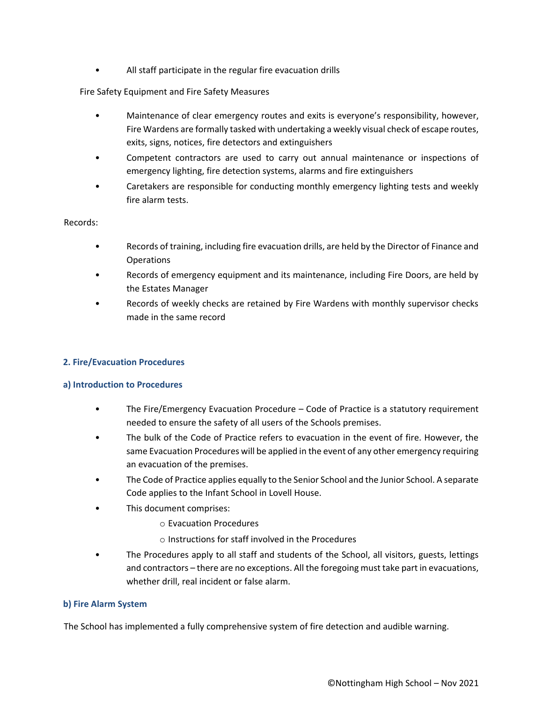• All staff participate in the regular fire evacuation drills

# Fire Safety Equipment and Fire Safety Measures

- Maintenance of clear emergency routes and exits is everyone's responsibility, however, Fire Wardens are formally tasked with undertaking a weekly visual check of escape routes, exits, signs, notices, fire detectors and extinguishers
- Competent contractors are used to carry out annual maintenance or inspections of emergency lighting, fire detection systems, alarms and fire extinguishers
- Caretakers are responsible for conducting monthly emergency lighting tests and weekly fire alarm tests.

Records:

- Records of training, including fire evacuation drills, are held by the Director of Finance and Operations
- Records of emergency equipment and its maintenance, including Fire Doors, are held by the Estates Manager
- Records of weekly checks are retained by Fire Wardens with monthly supervisor checks made in the same record

# <span id="page-3-0"></span>**2. Fire/Evacuation Procedures**

# <span id="page-3-1"></span>**a) Introduction to Procedures**

- The Fire/Emergency Evacuation Procedure Code of Practice is a statutory requirement needed to ensure the safety of all users of the Schools premises.
- The bulk of the Code of Practice refers to evacuation in the event of fire. However, the same Evacuation Procedures will be applied in the event of any other emergency requiring an evacuation of the premises.
- The Code of Practice applies equally to the Senior School and the Junior School. A separate Code applies to the Infant School in Lovell House.
- This document comprises:
	- o Evacuation Procedures
	- o Instructions for staff involved in the Procedures
- The Procedures apply to all staff and students of the School, all visitors, guests, lettings and contractors – there are no exceptions. All the foregoing must take part in evacuations, whether drill, real incident or false alarm.

#### <span id="page-3-2"></span>**b) Fire Alarm System**

The School has implemented a fully comprehensive system of fire detection and audible warning.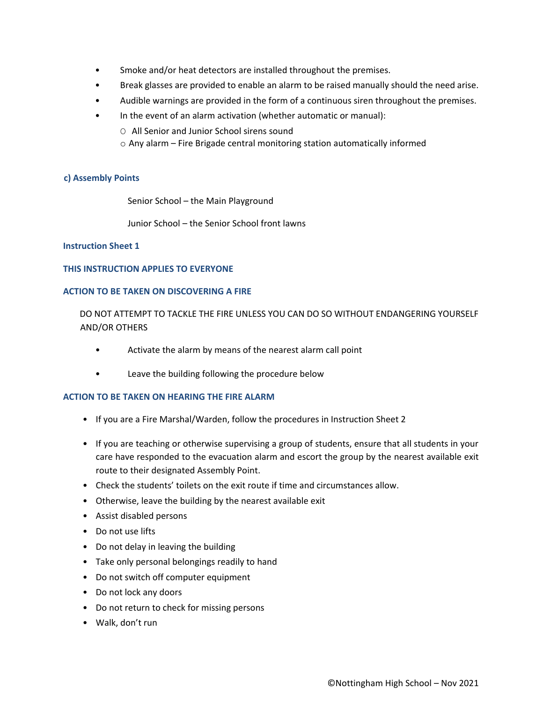- Smoke and/or heat detectors are installed throughout the premises.
- Break glasses are provided to enable an alarm to be raised manually should the need arise.
- Audible warnings are provided in the form of a continuous siren throughout the premises.
- In the event of an alarm activation (whether automatic or manual):
	- O All Senior and Junior School sirens sound
	- o Any alarm Fire Brigade central monitoring station automatically informed

# <span id="page-4-0"></span>**c) Assembly Points**

Senior School – the Main Playground

Junior School – the Senior School front lawns

#### <span id="page-4-1"></span>**Instruction Sheet 1**

#### <span id="page-4-2"></span>**THIS INSTRUCTION APPLIES TO EVERYONE**

#### <span id="page-4-3"></span>**ACTION TO BE TAKEN ON DISCOVERING A FIRE**

DO NOT ATTEMPT TO TACKLE THE FIRE UNLESS YOU CAN DO SO WITHOUT ENDANGERING YOURSELF AND/OR OTHERS

- Activate the alarm by means of the nearest alarm call point
- Leave the building following the procedure below

# <span id="page-4-4"></span>**ACTION TO BE TAKEN ON HEARING THE FIRE ALARM**

- If you are a Fire Marshal/Warden, follow the procedures in Instruction Sheet 2
- If you are teaching or otherwise supervising a group of students, ensure that all students in your care have responded to the evacuation alarm and escort the group by the nearest available exit route to their designated Assembly Point.
- Check the students' toilets on the exit route if time and circumstances allow.
- Otherwise, leave the building by the nearest available exit
- Assist disabled persons
- Do not use lifts
- Do not delay in leaving the building
- Take only personal belongings readily to hand
- Do not switch off computer equipment
- Do not lock any doors
- Do not return to check for missing persons
- Walk, don't run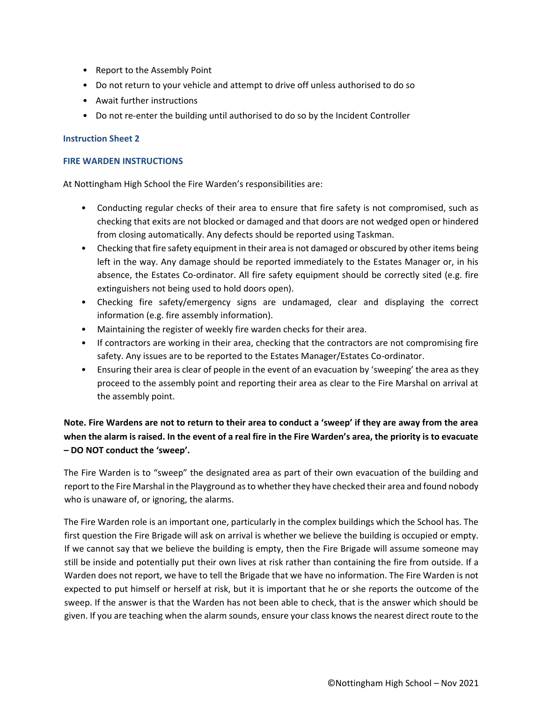- Report to the Assembly Point
- Do not return to your vehicle and attempt to drive off unless authorised to do so
- Await further instructions
- Do not re-enter the building until authorised to do so by the Incident Controller

## <span id="page-5-0"></span>**Instruction Sheet 2**

#### <span id="page-5-1"></span>**FIRE WARDEN INSTRUCTIONS**

At Nottingham High School the Fire Warden's responsibilities are:

- Conducting regular checks of their area to ensure that fire safety is not compromised, such as checking that exits are not blocked or damaged and that doors are not wedged open or hindered from closing automatically. Any defects should be reported using Taskman.
- Checking that fire safety equipment in their area is not damaged or obscured by other items being left in the way. Any damage should be reported immediately to the Estates Manager or, in his absence, the Estates Co-ordinator. All fire safety equipment should be correctly sited (e.g. fire extinguishers not being used to hold doors open).
- Checking fire safety/emergency signs are undamaged, clear and displaying the correct information (e.g. fire assembly information).
- Maintaining the register of weekly fire warden checks for their area.
- If contractors are working in their area, checking that the contractors are not compromising fire safety. Any issues are to be reported to the Estates Manager/Estates Co-ordinator.
- Ensuring their area is clear of people in the event of an evacuation by 'sweeping' the area as they proceed to the assembly point and reporting their area as clear to the Fire Marshal on arrival at the assembly point.

# **Note. Fire Wardens are not to return to their area to conduct a 'sweep' if they are away from the area when the alarm is raised. In the event of a real fire in the Fire Warden's area, the priority is to evacuate – DO NOT conduct the 'sweep'.**

The Fire Warden is to "sweep" the designated area as part of their own evacuation of the building and report to the Fire Marshal in the Playground as to whether they have checked their area and found nobody who is unaware of, or ignoring, the alarms.

The Fire Warden role is an important one, particularly in the complex buildings which the School has. The first question the Fire Brigade will ask on arrival is whether we believe the building is occupied or empty. If we cannot say that we believe the building is empty, then the Fire Brigade will assume someone may still be inside and potentially put their own lives at risk rather than containing the fire from outside. If a Warden does not report, we have to tell the Brigade that we have no information. The Fire Warden is not expected to put himself or herself at risk, but it is important that he or she reports the outcome of the sweep. If the answer is that the Warden has not been able to check, that is the answer which should be given. If you are teaching when the alarm sounds, ensure your class knows the nearest direct route to the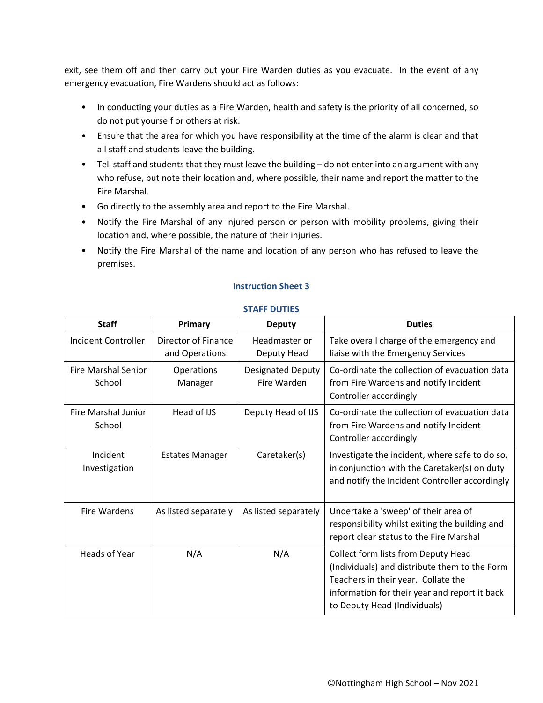exit, see them off and then carry out your Fire Warden duties as you evacuate. In the event of any emergency evacuation, Fire Wardens should act as follows:

- In conducting your duties as a Fire Warden, health and safety is the priority of all concerned, so do not put yourself or others at risk.
- Ensure that the area for which you have responsibility at the time of the alarm is clear and that all staff and students leave the building.
- Tell staff and students that they must leave the building do not enter into an argument with any who refuse, but note their location and, where possible, their name and report the matter to the Fire Marshal.
- Go directly to the assembly area and report to the Fire Marshal.
- Notify the Fire Marshal of any injured person or person with mobility problems, giving their location and, where possible, the nature of their injuries.
- Notify the Fire Marshal of the name and location of any person who has refused to leave the premises.

<span id="page-6-1"></span><span id="page-6-0"></span>

| <b>Staff</b>                         | Primary                                      | <b>Deputy</b>                           | <b>Duties</b>                                                                                                                                                                                                |
|--------------------------------------|----------------------------------------------|-----------------------------------------|--------------------------------------------------------------------------------------------------------------------------------------------------------------------------------------------------------------|
| Incident Controller                  | <b>Director of Finance</b><br>and Operations | Headmaster or<br>Deputy Head            | Take overall charge of the emergency and<br>liaise with the Emergency Services                                                                                                                               |
| <b>Fire Marshal Senior</b><br>School | Operations<br>Manager                        | <b>Designated Deputy</b><br>Fire Warden | Co-ordinate the collection of evacuation data<br>from Fire Wardens and notify Incident<br>Controller accordingly                                                                                             |
| Fire Marshal Junior<br>School        | Head of IJS                                  | Deputy Head of IJS                      | Co-ordinate the collection of evacuation data<br>from Fire Wardens and notify Incident<br>Controller accordingly                                                                                             |
| Incident<br>Investigation            | <b>Estates Manager</b>                       | Caretaker(s)                            | Investigate the incident, where safe to do so,<br>in conjunction with the Caretaker(s) on duty<br>and notify the Incident Controller accordingly                                                             |
| Fire Wardens                         | As listed separately                         | As listed separately                    | Undertake a 'sweep' of their area of<br>responsibility whilst exiting the building and<br>report clear status to the Fire Marshal                                                                            |
| Heads of Year                        | N/A                                          | N/A                                     | Collect form lists from Deputy Head<br>(Individuals) and distribute them to the Form<br>Teachers in their year. Collate the<br>information for their year and report it back<br>to Deputy Head (Individuals) |

# **STAFF DUTIES**

**Instruction Sheet 3**